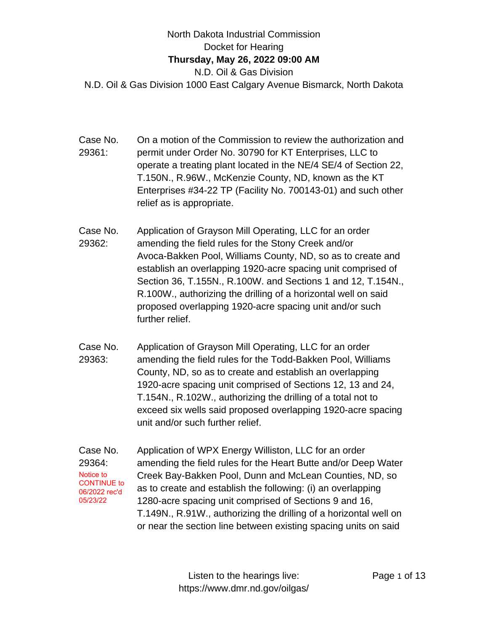## North Dakota Industrial Commission Docket for Hearing **Thursday, May 26, 2022 09:00 AM** N.D. Oil & Gas Division N.D. Oil & Gas Division 1000 East Calgary Avenue Bismarck, North Dakota

- Case No. 29361: On a motion of the Commission to review the authorization and permit under Order No. 30790 for KT Enterprises, LLC to operate a treating plant located in the NE/4 SE/4 of Section 22, T.150N., R.96W., McKenzie County, ND, known as the KT Enterprises #34-22 TP (Facility No. 700143-01) and such other relief as is appropriate.
- Case No. 29362: Application of Grayson Mill Operating, LLC for an order amending the field rules for the Stony Creek and/or Avoca-Bakken Pool, Williams County, ND, so as to create and establish an overlapping 1920-acre spacing unit comprised of Section 36, T.155N., R.100W. and Sections 1 and 12, T.154N., R.100W., authorizing the drilling of a horizontal well on said proposed overlapping 1920-acre spacing unit and/or such further relief.
- Case No. 29363: Application of Grayson Mill Operating, LLC for an order amending the field rules for the Todd-Bakken Pool, Williams County, ND, so as to create and establish an overlapping 1920-acre spacing unit comprised of Sections 12, 13 and 24, T.154N., R.102W., authorizing the drilling of a total not to exceed six wells said proposed overlapping 1920-acre spacing unit and/or such further relief.
- Case No. 29364: Application of WPX Energy Williston, LLC for an order amending the field rules for the Heart Butte and/or Deep Water Creek Bay-Bakken Pool, Dunn and McLean Counties, ND, so as to create and establish the following: (i) an overlapping 1280-acre spacing unit comprised of Sections 9 and 16, T.149N., R.91W., authorizing the drilling of a horizontal well on or near the section line between existing spacing units on said Notice to CONTINUE to 06/2022 rec'd 05/23/22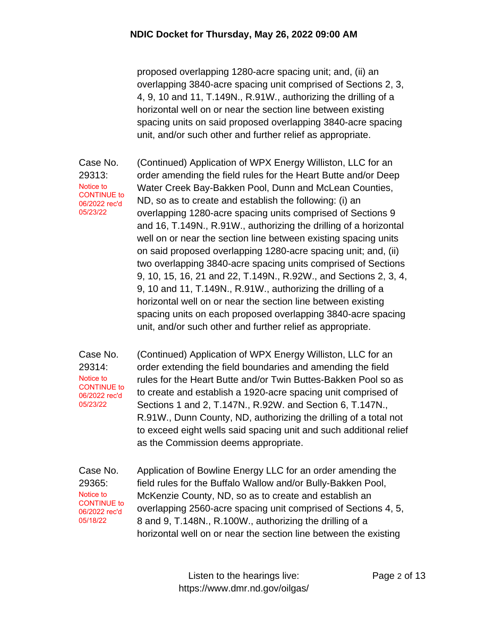proposed overlapping 1280-acre spacing unit; and, (ii) an overlapping 3840-acre spacing unit comprised of Sections 2, 3, 4, 9, 10 and 11, T.149N., R.91W., authorizing the drilling of a horizontal well on or near the section line between existing spacing units on said proposed overlapping 3840-acre spacing unit, and/or such other and further relief as appropriate.

Case No. 29313: Notice to CONTINUE to 06/2022 rec'd 05/23/22

(Continued) Application of WPX Energy Williston, LLC for an order amending the field rules for the Heart Butte and/or Deep Water Creek Bay-Bakken Pool, Dunn and McLean Counties, ND, so as to create and establish the following: (i) an overlapping 1280-acre spacing units comprised of Sections 9 and 16, T.149N., R.91W., authorizing the drilling of a horizontal well on or near the section line between existing spacing units on said proposed overlapping 1280-acre spacing unit; and, (ii) two overlapping 3840-acre spacing units comprised of Sections 9, 10, 15, 16, 21 and 22, T.149N., R.92W., and Sections 2, 3, 4, 9, 10 and 11, T.149N., R.91W., authorizing the drilling of a horizontal well on or near the section line between existing spacing units on each proposed overlapping 3840-acre spacing unit, and/or such other and further relief as appropriate.

Case No. 29314: (Continued) Application of WPX Energy Williston, LLC for an order extending the field boundaries and amending the field rules for the Heart Butte and/or Twin Buttes-Bakken Pool so as to create and establish a 1920-acre spacing unit comprised of Sections 1 and 2, T.147N., R.92W. and Section 6, T.147N., R.91W., Dunn County, ND, authorizing the drilling of a total not to exceed eight wells said spacing unit and such additional relief as the Commission deems appropriate. Notice to CONTINUE to 06/2022 rec'd 05/23/22

Case No. 29365: Application of Bowline Energy LLC for an order amending the field rules for the Buffalo Wallow and/or Bully-Bakken Pool, McKenzie County, ND, so as to create and establish an overlapping 2560-acre spacing unit comprised of Sections 4, 5, 8 and 9, T.148N., R.100W., authorizing the drilling of a horizontal well on or near the section line between the existing Notice to CONTINUE to 06/2022 rec'd 05/18/22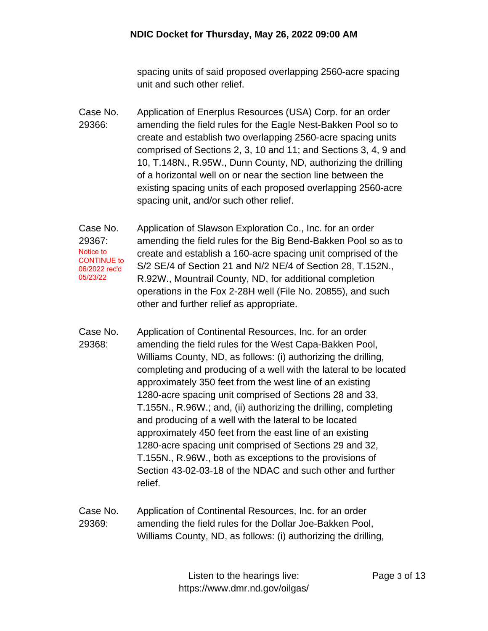spacing units of said proposed overlapping 2560-acre spacing unit and such other relief.

Case No. 29366: Application of Enerplus Resources (USA) Corp. for an order amending the field rules for the Eagle Nest-Bakken Pool so to create and establish two overlapping 2560-acre spacing units comprised of Sections 2, 3, 10 and 11; and Sections 3, 4, 9 and 10, T.148N., R.95W., Dunn County, ND, authorizing the drilling of a horizontal well on or near the section line between the existing spacing units of each proposed overlapping 2560-acre spacing unit, and/or such other relief.

Case No. 29367: Application of Slawson Exploration Co., Inc. for an order amending the field rules for the Big Bend-Bakken Pool so as to create and establish a 160-acre spacing unit comprised of the S/2 SE/4 of Section 21 and N/2 NE/4 of Section 28, T.152N., R.92W., Mountrail County, ND, for additional completion operations in the Fox 2-28H well (File No. 20855), and such other and further relief as appropriate. Notice to CONTINUE to 06/2022 rec'd 05/23/22

Case No. 29368: Application of Continental Resources, Inc. for an order amending the field rules for the West Capa-Bakken Pool, Williams County, ND, as follows: (i) authorizing the drilling, completing and producing of a well with the lateral to be located approximately 350 feet from the west line of an existing 1280-acre spacing unit comprised of Sections 28 and 33, T.155N., R.96W.; and, (ii) authorizing the drilling, completing and producing of a well with the lateral to be located approximately 450 feet from the east line of an existing 1280-acre spacing unit comprised of Sections 29 and 32, T.155N., R.96W., both as exceptions to the provisions of Section 43-02-03-18 of the NDAC and such other and further relief.

Case No. 29369: Application of Continental Resources, Inc. for an order amending the field rules for the Dollar Joe-Bakken Pool, Williams County, ND, as follows: (i) authorizing the drilling,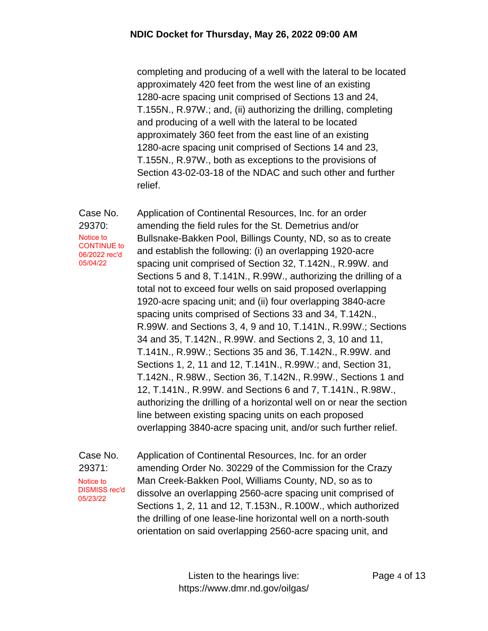completing and producing of a well with the lateral to be located approximately 420 feet from the west line of an existing 1280-acre spacing unit comprised of Sections 13 and 24, T.155N., R.97W.; and, (ii) authorizing the drilling, completing and producing of a well with the lateral to be located approximately 360 feet from the east line of an existing 1280-acre spacing unit comprised of Sections 14 and 23, T.155N., R.97W., both as exceptions to the provisions of Section 43-02-03-18 of the NDAC and such other and further relief.

Case No. 29370: Application of Continental Resources, Inc. for an order amending the field rules for the St. Demetrius and/or Bullsnake-Bakken Pool, Billings County, ND, so as to create and establish the following: (i) an overlapping 1920-acre spacing unit comprised of Section 32, T.142N., R.99W. and Sections 5 and 8, T.141N., R.99W., authorizing the drilling of a total not to exceed four wells on said proposed overlapping 1920-acre spacing unit; and (ii) four overlapping 3840-acre spacing units comprised of Sections 33 and 34, T.142N., R.99W. and Sections 3, 4, 9 and 10, T.141N., R.99W.; Sections 34 and 35, T.142N., R.99W. and Sections 2, 3, 10 and 11, T.141N., R.99W.; Sections 35 and 36, T.142N., R.99W. and Sections 1, 2, 11 and 12, T.141N., R.99W.; and, Section 31, T.142N., R.98W., Section 36, T.142N., R.99W., Sections 1 and 12, T.141N., R.99W. and Sections 6 and 7, T.141N., R.98W., authorizing the drilling of a horizontal well on or near the section line between existing spacing units on each proposed overlapping 3840-acre spacing unit, and/or such further relief. Notice to CONTINUE to 06/2022 rec'd 05/04/22

Case No. 29371: Application of Continental Resources, Inc. for an order amending Order No. 30229 of the Commission for the Crazy Man Creek-Bakken Pool, Williams County, ND, so as to dissolve an overlapping 2560-acre spacing unit comprised of Sections 1, 2, 11 and 12, T.153N., R.100W., which authorized the drilling of one lease-line horizontal well on a north-south orientation on said overlapping 2560-acre spacing unit, and Notice to DISMISS rec'd 05/23/22

> Listen to the hearings live: https://www.dmr.nd.gov/oilgas/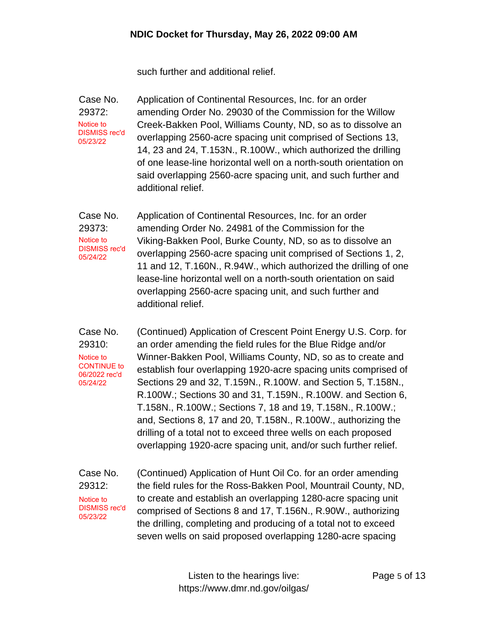such further and additional relief.

Case No. 29372: Application of Continental Resources, Inc. for an order amending Order No. 29030 of the Commission for the Willow Creek-Bakken Pool, Williams County, ND, so as to dissolve an overlapping 2560-acre spacing unit comprised of Sections 13, 14, 23 and 24, T.153N., R.100W., which authorized the drilling of one lease-line horizontal well on a north-south orientation on said overlapping 2560-acre spacing unit, and such further and additional relief. Notice to DISMISS rec'd 05/23/22

Case No. 29373: Application of Continental Resources, Inc. for an order amending Order No. 24981 of the Commission for the Viking-Bakken Pool, Burke County, ND, so as to dissolve an overlapping 2560-acre spacing unit comprised of Sections 1, 2, 11 and 12, T.160N., R.94W., which authorized the drilling of one lease-line horizontal well on a north-south orientation on said overlapping 2560-acre spacing unit, and such further and additional relief. Notice to DISMISS rec'd 05/24/22

Case No. 29310: (Continued) Application of Crescent Point Energy U.S. Corp. for an order amending the field rules for the Blue Ridge and/or Winner-Bakken Pool, Williams County, ND, so as to create and establish four overlapping 1920-acre spacing units comprised of Sections 29 and 32, T.159N., R.100W. and Section 5, T.158N., R.100W.; Sections 30 and 31, T.159N., R.100W. and Section 6, T.158N., R.100W.; Sections 7, 18 and 19, T.158N., R.100W.; and, Sections 8, 17 and 20, T.158N., R.100W., authorizing the drilling of a total not to exceed three wells on each proposed overlapping 1920-acre spacing unit, and/or such further relief. Notice to CONTINUE to 06/2022 rec'd 05/24/22

Case No. 29312: (Continued) Application of Hunt Oil Co. for an order amending the field rules for the Ross-Bakken Pool, Mountrail County, ND, to create and establish an overlapping 1280-acre spacing unit comprised of Sections 8 and 17, T.156N., R.90W., authorizing the drilling, completing and producing of a total not to exceed seven wells on said proposed overlapping 1280-acre spacing Notice to DISMISS rec'd 05/23/22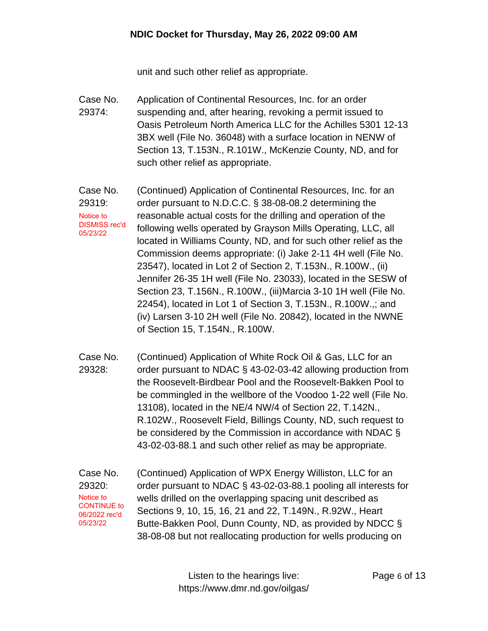unit and such other relief as appropriate.

- Case No. 29374: Application of Continental Resources, Inc. for an order suspending and, after hearing, revoking a permit issued to Oasis Petroleum North America LLC for the Achilles 5301 12-13 3BX well (File No. 36048) with a surface location in NENW of Section 13, T.153N., R.101W., McKenzie County, ND, and for such other relief as appropriate.
- Case No. 29319: (Continued) Application of Continental Resources, Inc. for an order pursuant to N.D.C.C. § 38-08-08.2 determining the reasonable actual costs for the drilling and operation of the following wells operated by Grayson Mills Operating, LLC, all located in Williams County, ND, and for such other relief as the Commission deems appropriate: (i) Jake 2-11 4H well (File No. 23547), located in Lot 2 of Section 2, T.153N., R.100W., (ii) Jennifer 26-35 1H well (File No. 23033), located in the SESW of Section 23, T.156N., R.100W., (iii)Marcia 3-10 1H well (File No. 22454), located in Lot 1 of Section 3, T.153N., R.100W.,; and (iv) Larsen 3-10 2H well (File No. 20842), located in the NWNE of Section 15, T.154N., R.100W. Notice to DISMISS rec'd 05/23/22
- Case No. 29328: (Continued) Application of White Rock Oil & Gas, LLC for an order pursuant to NDAC § 43-02-03-42 allowing production from the Roosevelt-Birdbear Pool and the Roosevelt-Bakken Pool to be commingled in the wellbore of the Voodoo 1-22 well (File No. 13108), located in the NE/4 NW/4 of Section 22, T.142N., R.102W., Roosevelt Field, Billings County, ND, such request to be considered by the Commission in accordance with NDAC § 43-02-03-88.1 and such other relief as may be appropriate.
- Case No. 29320: (Continued) Application of WPX Energy Williston, LLC for an order pursuant to NDAC § 43-02-03-88.1 pooling all interests for wells drilled on the overlapping spacing unit described as Sections 9, 10, 15, 16, 21 and 22, T.149N., R.92W., Heart Butte-Bakken Pool, Dunn County, ND, as provided by NDCC § 38-08-08 but not reallocating production for wells producing on Notice to CONTINUE to 06/2022 rec'd 05/23/22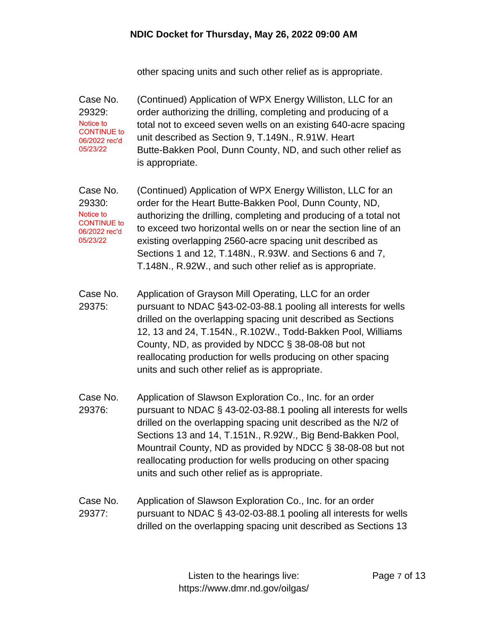other spacing units and such other relief as is appropriate.

Case No. 29329: (Continued) Application of WPX Energy Williston, LLC for an order authorizing the drilling, completing and producing of a total not to exceed seven wells on an existing 640-acre spacing unit described as Section 9, T.149N., R.91W. Heart Butte-Bakken Pool, Dunn County, ND, and such other relief as is appropriate. Notice to CONTINUE to 06/2022 rec'd 05/23/22

Case No. 29330: (Continued) Application of WPX Energy Williston, LLC for an order for the Heart Butte-Bakken Pool, Dunn County, ND, authorizing the drilling, completing and producing of a total not to exceed two horizontal wells on or near the section line of an existing overlapping 2560-acre spacing unit described as Sections 1 and 12, T.148N., R.93W. and Sections 6 and 7, T.148N., R.92W., and such other relief as is appropriate. Notice to CONTINUE to 06/2022 rec'd 05/23/22

- Case No. 29375: Application of Grayson Mill Operating, LLC for an order pursuant to NDAC §43-02-03-88.1 pooling all interests for wells drilled on the overlapping spacing unit described as Sections 12, 13 and 24, T.154N., R.102W., Todd-Bakken Pool, Williams County, ND, as provided by NDCC § 38-08-08 but not reallocating production for wells producing on other spacing units and such other relief as is appropriate.
- Case No. 29376: Application of Slawson Exploration Co., Inc. for an order pursuant to NDAC § 43-02-03-88.1 pooling all interests for wells drilled on the overlapping spacing unit described as the N/2 of Sections 13 and 14, T.151N., R.92W., Big Bend-Bakken Pool, Mountrail County, ND as provided by NDCC § 38-08-08 but not reallocating production for wells producing on other spacing units and such other relief as is appropriate.
- Case No. 29377: Application of Slawson Exploration Co., Inc. for an order pursuant to NDAC § 43-02-03-88.1 pooling all interests for wells drilled on the overlapping spacing unit described as Sections 13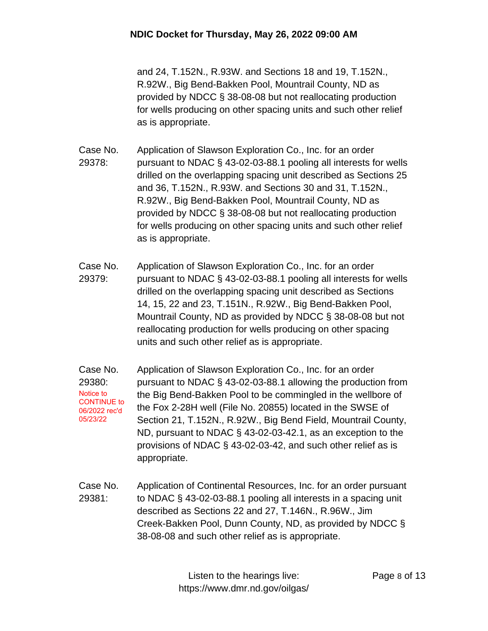and 24, T.152N., R.93W. and Sections 18 and 19, T.152N., R.92W., Big Bend-Bakken Pool, Mountrail County, ND as provided by NDCC § 38-08-08 but not reallocating production for wells producing on other spacing units and such other relief as is appropriate.

- Case No. 29378: Application of Slawson Exploration Co., Inc. for an order pursuant to NDAC § 43-02-03-88.1 pooling all interests for wells drilled on the overlapping spacing unit described as Sections 25 and 36, T.152N., R.93W. and Sections 30 and 31, T.152N., R.92W., Big Bend-Bakken Pool, Mountrail County, ND as provided by NDCC § 38-08-08 but not reallocating production for wells producing on other spacing units and such other relief as is appropriate.
- Case No. 29379: Application of Slawson Exploration Co., Inc. for an order pursuant to NDAC § 43-02-03-88.1 pooling all interests for wells drilled on the overlapping spacing unit described as Sections 14, 15, 22 and 23, T.151N., R.92W., Big Bend-Bakken Pool, Mountrail County, ND as provided by NDCC § 38-08-08 but not reallocating production for wells producing on other spacing units and such other relief as is appropriate.
- Case No. 29380: Application of Slawson Exploration Co., Inc. for an order pursuant to NDAC § 43-02-03-88.1 allowing the production from the Big Bend-Bakken Pool to be commingled in the wellbore of the Fox 2-28H well (File No. 20855) located in the SWSE of Section 21, T.152N., R.92W., Big Bend Field, Mountrail County, ND, pursuant to NDAC § 43-02-03-42.1, as an exception to the provisions of NDAC § 43-02-03-42, and such other relief as is appropriate. Notice to CONTINUE to 06/2022 rec'd 05/23/22
- Case No. 29381: Application of Continental Resources, Inc. for an order pursuant to NDAC § 43-02-03-88.1 pooling all interests in a spacing unit described as Sections 22 and 27, T.146N., R.96W., Jim Creek-Bakken Pool, Dunn County, ND, as provided by NDCC § 38-08-08 and such other relief as is appropriate.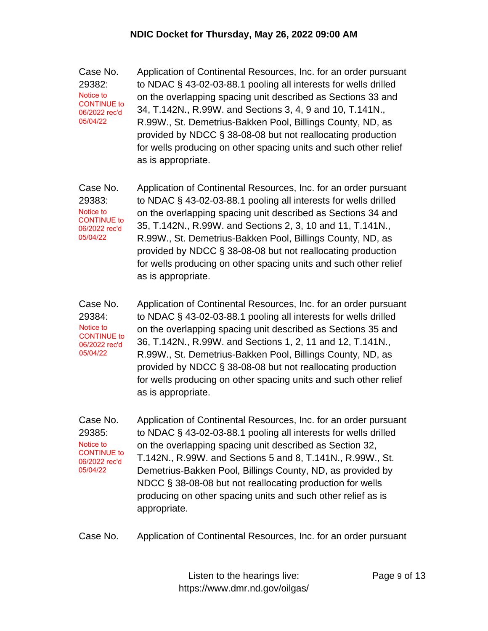Case No. 29382: Application of Continental Resources, Inc. for an order pursuant to NDAC § 43-02-03-88.1 pooling all interests for wells drilled on the overlapping spacing unit described as Sections 33 and 34, T.142N., R.99W. and Sections 3, 4, 9 and 10, T.141N., R.99W., St. Demetrius-Bakken Pool, Billings County, ND, as provided by NDCC § 38-08-08 but not reallocating production for wells producing on other spacing units and such other relief as is appropriate. Notice to CONTINUE to 06/2022 rec'd 05/04/22

Case No. 29383: Application of Continental Resources, Inc. for an order pursuant to NDAC § 43-02-03-88.1 pooling all interests for wells drilled on the overlapping spacing unit described as Sections 34 and 35, T.142N., R.99W. and Sections 2, 3, 10 and 11, T.141N., R.99W., St. Demetrius-Bakken Pool, Billings County, ND, as provided by NDCC § 38-08-08 but not reallocating production for wells producing on other spacing units and such other relief as is appropriate. Notice to CONTINUE to 06/2022 rec'd 05/04/22

Case No. 29384: Application of Continental Resources, Inc. for an order pursuant to NDAC § 43-02-03-88.1 pooling all interests for wells drilled on the overlapping spacing unit described as Sections 35 and 36, T.142N., R.99W. and Sections 1, 2, 11 and 12, T.141N., R.99W., St. Demetrius-Bakken Pool, Billings County, ND, as provided by NDCC § 38-08-08 but not reallocating production for wells producing on other spacing units and such other relief as is appropriate. Notice to CONTINUE to 06/2022 rec'd 05/04/22

Case No. 29385: Application of Continental Resources, Inc. for an order pursuant to NDAC § 43-02-03-88.1 pooling all interests for wells drilled on the overlapping spacing unit described as Section 32, T.142N., R.99W. and Sections 5 and 8, T.141N., R.99W., St. Demetrius-Bakken Pool, Billings County, ND, as provided by NDCC § 38-08-08 but not reallocating production for wells producing on other spacing units and such other relief as is appropriate. Notice to CONTINUE to 06/2022 rec'd 05/04/22

Case No. Application of Continental Resources, Inc. for an order pursuant

Listen to the hearings live: https://www.dmr.nd.gov/oilgas/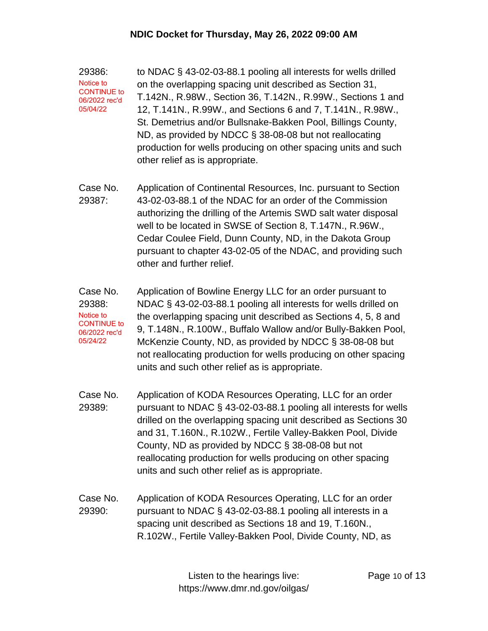29386: to NDAC § 43-02-03-88.1 pooling all interests for wells drilled on the overlapping spacing unit described as Section 31, T.142N., R.98W., Section 36, T.142N., R.99W., Sections 1 and 12, T.141N., R.99W., and Sections 6 and 7, T.141N., R.98W., St. Demetrius and/or Bullsnake-Bakken Pool, Billings County, ND, as provided by NDCC § 38-08-08 but not reallocating production for wells producing on other spacing units and such other relief as is appropriate. Notice to CONTINUE to 06/2022 rec'd 05/04/22

- Case No. 29387: Application of Continental Resources, Inc. pursuant to Section 43-02-03-88.1 of the NDAC for an order of the Commission authorizing the drilling of the Artemis SWD salt water disposal well to be located in SWSE of Section 8, T.147N., R.96W., Cedar Coulee Field, Dunn County, ND, in the Dakota Group pursuant to chapter 43-02-05 of the NDAC, and providing such other and further relief.
- Case No. 29388: Application of Bowline Energy LLC for an order pursuant to NDAC § 43-02-03-88.1 pooling all interests for wells drilled on the overlapping spacing unit described as Sections 4, 5, 8 and 9, T.148N., R.100W., Buffalo Wallow and/or Bully-Bakken Pool, McKenzie County, ND, as provided by NDCC § 38-08-08 but not reallocating production for wells producing on other spacing units and such other relief as is appropriate. Notice to CONTINUE to 06/2022 rec'd 05/24/22
- Case No. 29389: Application of KODA Resources Operating, LLC for an order pursuant to NDAC § 43-02-03-88.1 pooling all interests for wells drilled on the overlapping spacing unit described as Sections 30 and 31, T.160N., R.102W., Fertile Valley-Bakken Pool, Divide County, ND as provided by NDCC § 38-08-08 but not reallocating production for wells producing on other spacing units and such other relief as is appropriate.
- Case No. 29390: Application of KODA Resources Operating, LLC for an order pursuant to NDAC § 43-02-03-88.1 pooling all interests in a spacing unit described as Sections 18 and 19, T.160N., R.102W., Fertile Valley-Bakken Pool, Divide County, ND, as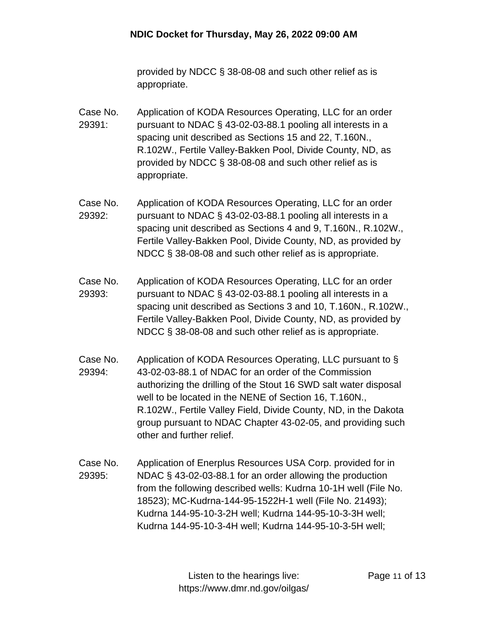provided by NDCC § 38-08-08 and such other relief as is appropriate.

- Case No. 29391: Application of KODA Resources Operating, LLC for an order pursuant to NDAC § 43-02-03-88.1 pooling all interests in a spacing unit described as Sections 15 and 22, T.160N., R.102W., Fertile Valley-Bakken Pool, Divide County, ND, as provided by NDCC § 38-08-08 and such other relief as is appropriate.
- Case No. 29392: Application of KODA Resources Operating, LLC for an order pursuant to NDAC § 43-02-03-88.1 pooling all interests in a spacing unit described as Sections 4 and 9, T.160N., R.102W., Fertile Valley-Bakken Pool, Divide County, ND, as provided by NDCC § 38-08-08 and such other relief as is appropriate.
- Case No. 29393: Application of KODA Resources Operating, LLC for an order pursuant to NDAC § 43-02-03-88.1 pooling all interests in a spacing unit described as Sections 3 and 10, T.160N., R.102W., Fertile Valley-Bakken Pool, Divide County, ND, as provided by NDCC § 38-08-08 and such other relief as is appropriate.
- Case No. 29394: Application of KODA Resources Operating, LLC pursuant to § 43-02-03-88.1 of NDAC for an order of the Commission authorizing the drilling of the Stout 16 SWD salt water disposal well to be located in the NENE of Section 16, T.160N., R.102W., Fertile Valley Field, Divide County, ND, in the Dakota group pursuant to NDAC Chapter 43-02-05, and providing such other and further relief.
- Case No. 29395: Application of Enerplus Resources USA Corp. provided for in NDAC § 43-02-03-88.1 for an order allowing the production from the following described wells: Kudrna 10-1H well (File No. 18523); MC-Kudrna-144-95-1522H-1 well (File No. 21493); Kudrna 144-95-10-3-2H well; Kudrna 144-95-10-3-3H well; Kudrna 144-95-10-3-4H well; Kudrna 144-95-10-3-5H well;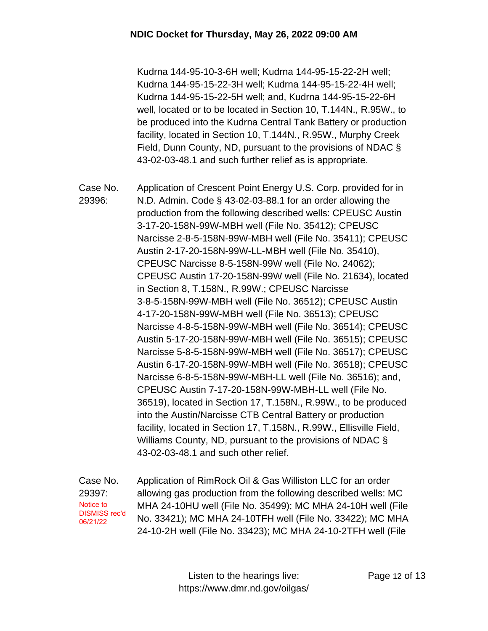Kudrna 144-95-10-3-6H well; Kudrna 144-95-15-22-2H well; Kudrna 144-95-15-22-3H well; Kudrna 144-95-15-22-4H well; Kudrna 144-95-15-22-5H well; and, Kudrna 144-95-15-22-6H well, located or to be located in Section 10, T.144N., R.95W., to be produced into the Kudrna Central Tank Battery or production facility, located in Section 10, T.144N., R.95W., Murphy Creek Field, Dunn County, ND, pursuant to the provisions of NDAC § 43-02-03-48.1 and such further relief as is appropriate.

Case No. 29396: Application of Crescent Point Energy U.S. Corp. provided for in N.D. Admin. Code § 43-02-03-88.1 for an order allowing the production from the following described wells: CPEUSC Austin 3-17-20-158N-99W-MBH well (File No. 35412); CPEUSC Narcisse 2-8-5-158N-99W-MBH well (File No. 35411); CPEUSC Austin 2-17-20-158N-99W-LL-MBH well (File No. 35410), CPEUSC Narcisse 8-5-158N-99W well (File No. 24062); CPEUSC Austin 17-20-158N-99W well (File No. 21634), located in Section 8, T.158N., R.99W.; CPEUSC Narcisse 3-8-5-158N-99W-MBH well (File No. 36512); CPEUSC Austin 4-17-20-158N-99W-MBH well (File No. 36513); CPEUSC Narcisse 4-8-5-158N-99W-MBH well (File No. 36514); CPEUSC Austin 5-17-20-158N-99W-MBH well (File No. 36515); CPEUSC Narcisse 5-8-5-158N-99W-MBH well (File No. 36517); CPEUSC Austin 6-17-20-158N-99W-MBH well (File No. 36518); CPEUSC Narcisse 6-8-5-158N-99W-MBH-LL well (File No. 36516); and, CPEUSC Austin 7-17-20-158N-99W-MBH-LL well (File No. 36519), located in Section 17, T.158N., R.99W., to be produced into the Austin/Narcisse CTB Central Battery or production facility, located in Section 17, T.158N., R.99W., Ellisville Field, Williams County, ND, pursuant to the provisions of NDAC § 43-02-03-48.1 and such other relief.

Case No. 29397: Application of RimRock Oil & Gas Williston LLC for an order allowing gas production from the following described wells: MC MHA 24-10HU well (File No. 35499); MC MHA 24-10H well (File No. 33421); MC MHA 24-10TFH well (File No. 33422); MC MHA 24-10-2H well (File No. 33423); MC MHA 24-10-2TFH well (File Notice to DISMISS rec'd 06/21/22